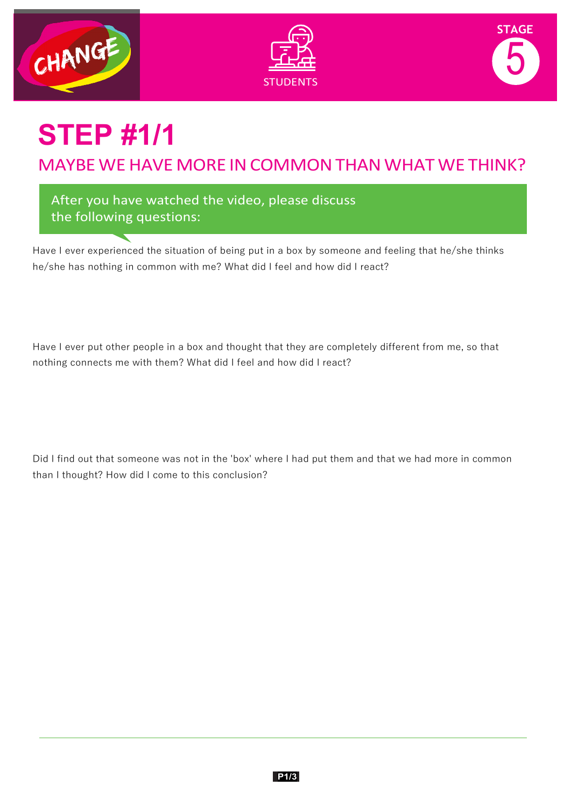





# **STEP #1/1**

MAYBE WE HAVE MORE IN COMMON THAN WHAT WE THINK?

After you have watched the video, please discuss the following questions:

Have I ever experienced the situation of being put in a box by someone and feeling that he/she thinks he/she has nothing in common with me? What did I feel and how did I react?

Have I ever put other people in a box and thought that they are completely different from me, so that nothing connects me with them? What did I feel and how did I react?

Did I find out that someone was not in the 'box' where I had put them and that we had more in common than I thought? How did I come to this conclusion?

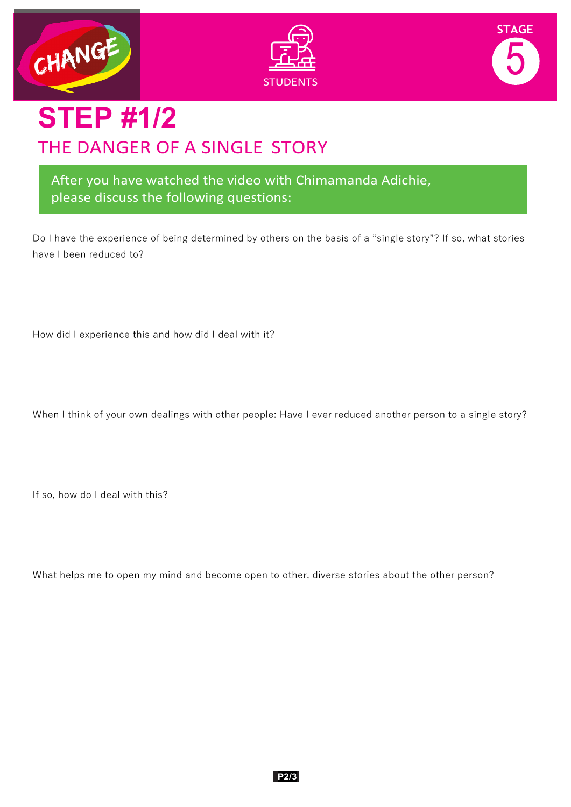





### **STEP #1/2** THE DANGER OF A SINGLE STORY

After you have watched the video with Chimamanda Adichie, please discuss the following questions:

Do I have the experience of being determined by others on the basis of a "single story"? If so, what stories have I been reduced to?

How did I experience this and how did I deal with it?

When I think of your own dealings with other people: Have I ever reduced another person to a single story?

If so, how do I deal with this?

What helps me to open my mind and become open to other, diverse stories about the other person?